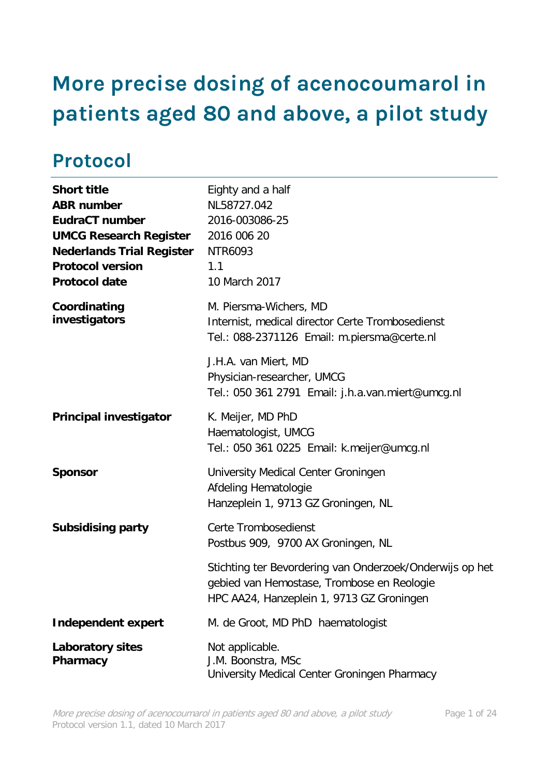# <span id="page-0-0"></span>**More precise dosing of acenocoumarol in patients aged 80 and above, a pilot study**

# <span id="page-0-1"></span>**Protocol**

| <b>Short title</b><br><b>ABR number</b><br><b>EudraCT number</b><br><b>UMCG Research Register</b><br><b>Nederlands Trial Register</b><br><b>Protocol version</b><br><b>Protocol date</b> | Eighty and a half<br>NL58727.042<br>2016-003086-25<br>2016 006 20<br>NTR6093<br>1.1<br>10 March 2017                                                |  |  |
|------------------------------------------------------------------------------------------------------------------------------------------------------------------------------------------|-----------------------------------------------------------------------------------------------------------------------------------------------------|--|--|
| Coordinating<br>investigators                                                                                                                                                            | M. Piersma-Wichers, MD<br>Internist, medical director Certe Trombosedienst<br>Tel.: 088-2371126 Email: m.piersma@certe.nl                           |  |  |
|                                                                                                                                                                                          | J.H.A. van Miert, MD<br>Physician-researcher, UMCG<br>Tel.: 050 361 2791 Email: j.h.a.van.miert@umcg.nl                                             |  |  |
| <b>Principal investigator</b>                                                                                                                                                            | K. Meijer, MD PhD<br>Haematologist, UMCG<br>Tel.: 050 361 0225 Email: k.meijer@umcg.nl                                                              |  |  |
| <b>Sponsor</b>                                                                                                                                                                           | University Medical Center Groningen<br>Afdeling Hematologie<br>Hanzeplein 1, 9713 GZ Groningen, NL                                                  |  |  |
| <b>Subsidising party</b>                                                                                                                                                                 | Certe Trombosedienst<br>Postbus 909, 9700 AX Groningen, NL                                                                                          |  |  |
|                                                                                                                                                                                          | Stichting ter Bevordering van Onderzoek/Onderwijs op het<br>gebied van Hemostase, Trombose en Reologie<br>HPC AA24, Hanzeplein 1, 9713 GZ Groningen |  |  |
| <b>Independent expert</b>                                                                                                                                                                | M. de Groot, MD PhD haematologist                                                                                                                   |  |  |
| <b>Laboratory sites</b><br>Pharmacy                                                                                                                                                      | Not applicable.<br>J.M. Boonstra, MSc<br>University Medical Center Groningen Pharmacy                                                               |  |  |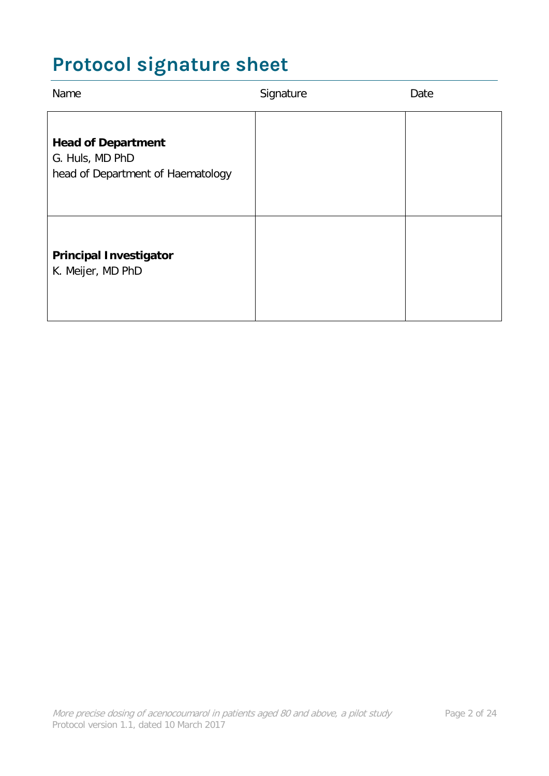# <span id="page-1-0"></span>**Protocol signature sheet**

| Name                                                                              | Signature | Date |
|-----------------------------------------------------------------------------------|-----------|------|
| <b>Head of Department</b><br>G. Huls, MD PhD<br>head of Department of Haematology |           |      |
| <b>Principal Investigator</b><br>K. Meijer, MD PhD                                |           |      |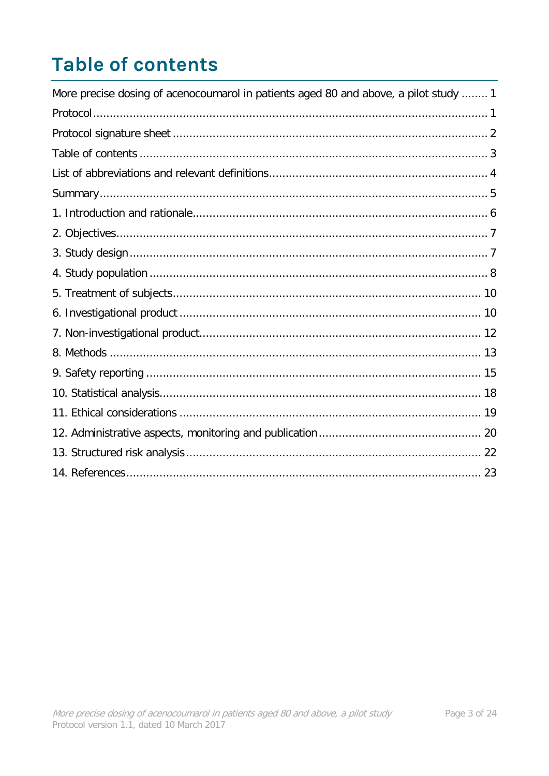# <span id="page-2-0"></span>**Table of contents**

| More precise dosing of acenocoumarol in patients aged 80 and above, a pilot study  1 |
|--------------------------------------------------------------------------------------|
|                                                                                      |
|                                                                                      |
|                                                                                      |
|                                                                                      |
|                                                                                      |
|                                                                                      |
|                                                                                      |
|                                                                                      |
|                                                                                      |
|                                                                                      |
|                                                                                      |
|                                                                                      |
|                                                                                      |
|                                                                                      |
|                                                                                      |
|                                                                                      |
|                                                                                      |
|                                                                                      |
|                                                                                      |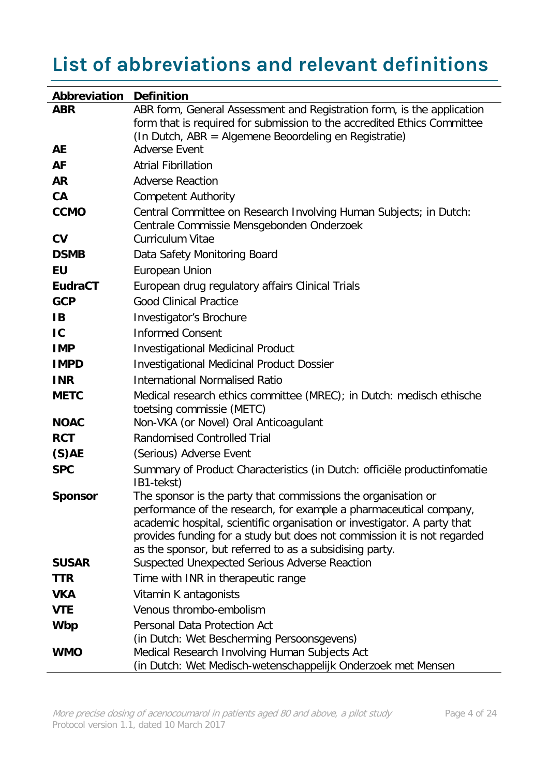# <span id="page-3-0"></span>**List of abbreviations and relevant definitions**

| Abbreviation           | <b>Definition</b>                                                                                                                                                                                                                                                                                                                                     |
|------------------------|-------------------------------------------------------------------------------------------------------------------------------------------------------------------------------------------------------------------------------------------------------------------------------------------------------------------------------------------------------|
| <b>ABR</b>             | ABR form, General Assessment and Registration form, is the application                                                                                                                                                                                                                                                                                |
|                        | form that is required for submission to the accredited Ethics Committee                                                                                                                                                                                                                                                                               |
| AE                     | (In Dutch, ABR = Algemene Beoordeling en Registratie)<br><b>Adverse Event</b>                                                                                                                                                                                                                                                                         |
|                        |                                                                                                                                                                                                                                                                                                                                                       |
| <b>AF</b>              | <b>Atrial Fibrillation</b>                                                                                                                                                                                                                                                                                                                            |
| <b>AR</b>              | <b>Adverse Reaction</b>                                                                                                                                                                                                                                                                                                                               |
| CA                     | <b>Competent Authority</b>                                                                                                                                                                                                                                                                                                                            |
| <b>CCMO</b>            | Central Committee on Research Involving Human Subjects; in Dutch:<br>Centrale Commissie Mensgebonden Onderzoek                                                                                                                                                                                                                                        |
| $\mathbf{C}\mathbf{V}$ | <b>Curriculum Vitae</b>                                                                                                                                                                                                                                                                                                                               |
| <b>DSMB</b>            | Data Safety Monitoring Board                                                                                                                                                                                                                                                                                                                          |
| EU                     | European Union                                                                                                                                                                                                                                                                                                                                        |
| <b>EudraCT</b>         | European drug regulatory affairs Clinical Trials                                                                                                                                                                                                                                                                                                      |
| <b>GCP</b>             | <b>Good Clinical Practice</b>                                                                                                                                                                                                                                                                                                                         |
| <b>IB</b>              | Investigator's Brochure                                                                                                                                                                                                                                                                                                                               |
| IC                     | <b>Informed Consent</b>                                                                                                                                                                                                                                                                                                                               |
| <b>IMP</b>             | <b>Investigational Medicinal Product</b>                                                                                                                                                                                                                                                                                                              |
| <b>IMPD</b>            | <b>Investigational Medicinal Product Dossier</b>                                                                                                                                                                                                                                                                                                      |
| <b>INR</b>             | <b>International Normalised Ratio</b>                                                                                                                                                                                                                                                                                                                 |
| <b>METC</b>            | Medical research ethics committee (MREC); in Dutch: medisch ethische<br>toetsing commissie (METC)                                                                                                                                                                                                                                                     |
| <b>NOAC</b>            | Non-VKA (or Novel) Oral Anticoagulant                                                                                                                                                                                                                                                                                                                 |
| <b>RCT</b>             | <b>Randomised Controlled Trial</b>                                                                                                                                                                                                                                                                                                                    |
| $(S)$ AE               | (Serious) Adverse Event                                                                                                                                                                                                                                                                                                                               |
| <b>SPC</b>             | Summary of Product Characteristics (in Dutch: officiële productinfomatie<br>IB1-tekst)                                                                                                                                                                                                                                                                |
| <b>Sponsor</b>         | The sponsor is the party that commissions the organisation or<br>performance of the research, for example a pharmaceutical company,<br>academic hospital, scientific organisation or investigator. A party that<br>provides funding for a study but does not commission it is not regarded<br>as the sponsor, but referred to as a subsidising party. |
| <b>SUSAR</b>           | Suspected Unexpected Serious Adverse Reaction                                                                                                                                                                                                                                                                                                         |
| <b>TTR</b>             | Time with INR in therapeutic range                                                                                                                                                                                                                                                                                                                    |
| <b>VKA</b>             | Vitamin K antagonists                                                                                                                                                                                                                                                                                                                                 |
| <b>VTE</b>             | Venous thrombo-embolism                                                                                                                                                                                                                                                                                                                               |
| <b>Wbp</b>             | Personal Data Protection Act                                                                                                                                                                                                                                                                                                                          |
|                        | (in Dutch: Wet Bescherming Persoonsgevens)                                                                                                                                                                                                                                                                                                            |
| <b>WMO</b>             | Medical Research Involving Human Subjects Act<br>(in Dutch: Wet Medisch-wetenschappelijk Onderzoek met Mensen                                                                                                                                                                                                                                         |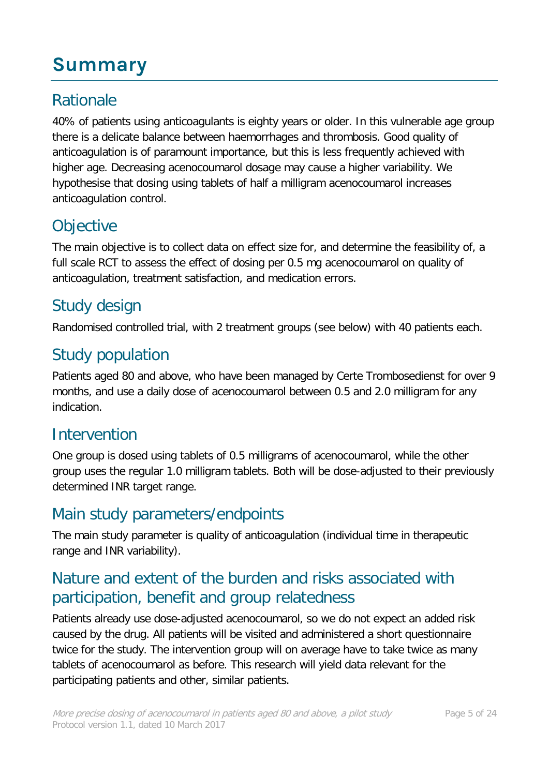# <span id="page-4-0"></span>**Summary**

# **Rationale**

40% of patients using anticoagulants is eighty years or older. In this vulnerable age group there is a delicate balance between haemorrhages and thrombosis. Good quality of anticoagulation is of paramount importance, but this is less frequently achieved with higher age. Decreasing acenocoumarol dosage may cause a higher variability. We hypothesise that dosing using tablets of half a milligram acenocoumarol increases anticoagulation control.

# **Objective**

The main objective is to collect data on effect size for, and determine the feasibility of, a full scale RCT to assess the effect of dosing per 0.5 mg acenocoumarol on quality of anticoagulation, treatment satisfaction, and medication errors.

## Study design

Randomised controlled trial, with 2 treatment groups (see below) with 40 patients each.

## Study population

Patients aged 80 and above, who have been managed by Certe Trombosedienst for over 9 months, and use a daily dose of acenocoumarol between 0.5 and 2.0 milligram for any indication.

### Intervention

One group is dosed using tablets of 0.5 milligrams of acenocoumarol, while the other group uses the regular 1.0 milligram tablets. Both will be dose-adjusted to their previously determined INR target range.

### Main study parameters/endpoints

The main study parameter is quality of anticoagulation (individual time in therapeutic range and INR variability).

## Nature and extent of the burden and risks associated with participation, benefit and group relatedness

Patients already use dose-adjusted acenocoumarol, so we do not expect an added risk caused by the drug. All patients will be visited and administered a short questionnaire twice for the study. The intervention group will on average have to take twice as many tablets of acenocoumarol as before. This research will yield data relevant for the participating patients and other, similar patients.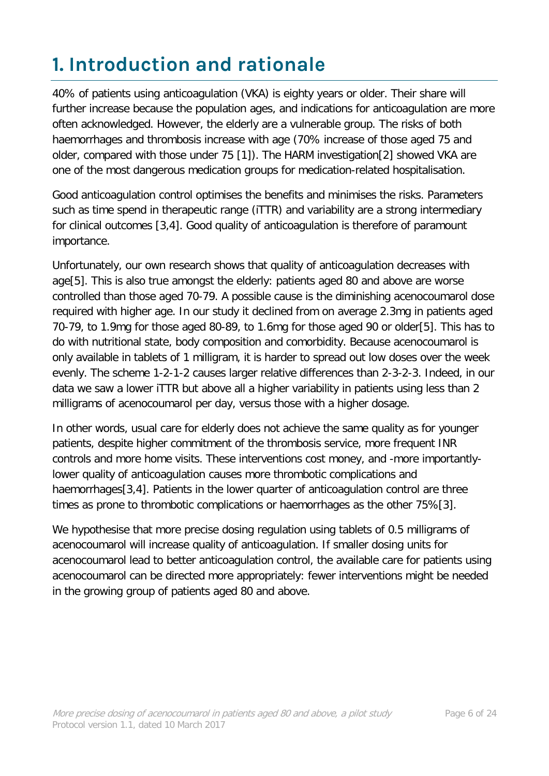# <span id="page-5-0"></span>**1. Introduction and rationale**

40% of patients using anticoagulation (VKA) is eighty years or older. Their share will further increase because the population ages, and indications for anticoagulation are more often acknowledged. However, the elderly are a vulnerable group. The risks of both haemorrhages and thrombosis increase with age (70% increase of those aged 75 and older, compared with those under 75 [1]). The HARM investigation[2] showed VKA are one of the most dangerous medication groups for medication-related hospitalisation.

Good anticoagulation control optimises the benefits and minimises the risks. Parameters such as time spend in therapeutic range (iTTR) and variability are a strong intermediary for clinical outcomes [3,4]. Good quality of anticoagulation is therefore of paramount importance.

Unfortunately, our own research shows that quality of anticoagulation decreases with age[5]. This is also true amongst the elderly: patients aged 80 and above are worse controlled than those aged 70-79. A possible cause is the diminishing acenocoumarol dose required with higher age. In our study it declined from on average 2.3mg in patients aged 70-79, to 1.9mg for those aged 80-89, to 1.6mg for those aged 90 or older[5]. This has to do with nutritional state, body composition and comorbidity. Because acenocoumarol is only available in tablets of 1 milligram, it is harder to spread out low doses over the week evenly. The scheme 1-2-1-2 causes larger relative differences than 2-3-2-3. Indeed, in our data we saw a lower iTTR but above all a higher variability in patients using less than 2 milligrams of acenocoumarol per day, versus those with a higher dosage.

In other words, usual care for elderly does not achieve the same quality as for younger patients, despite higher commitment of the thrombosis service, more frequent INR controls and more home visits. These interventions cost money, and -more importantlylower quality of anticoagulation causes more thrombotic complications and haemorrhages[3,4]. Patients in the lower quarter of anticoagulation control are three times as prone to thrombotic complications or haemorrhages as the other 75%[3].

We hypothesise that more precise dosing regulation using tablets of 0.5 milligrams of acenocoumarol will increase quality of anticoagulation. If smaller dosing units for acenocoumarol lead to better anticoagulation control, the available care for patients using acenocoumarol can be directed more appropriately: fewer interventions might be needed in the growing group of patients aged 80 and above.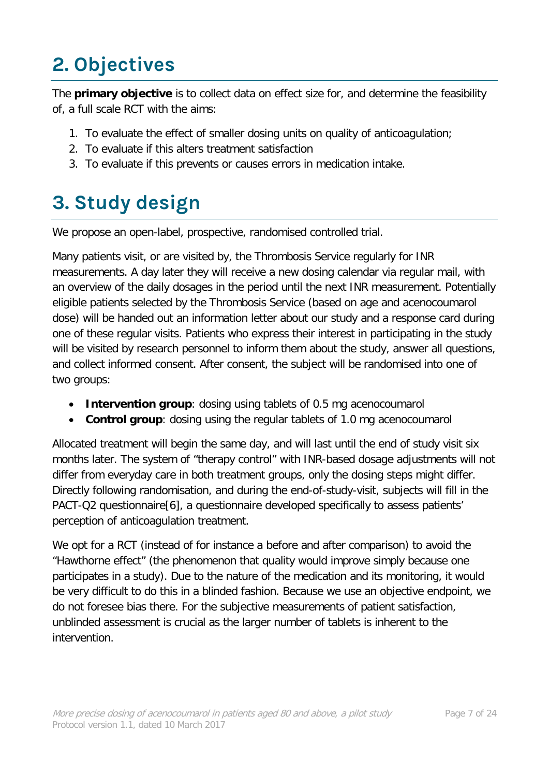# <span id="page-6-0"></span>**2. Objectives**

The **primary objective** is to collect data on effect size for, and determine the feasibility of, a full scale RCT with the aims:

- 1. To evaluate the effect of smaller dosing units on quality of anticoagulation;
- 2. To evaluate if this alters treatment satisfaction
- 3. To evaluate if this prevents or causes errors in medication intake.

# <span id="page-6-1"></span>**3. Study design**

We propose an open-label, prospective, randomised controlled trial.

Many patients visit, or are visited by, the Thrombosis Service regularly for INR measurements. A day later they will receive a new dosing calendar via regular mail, with an overview of the daily dosages in the period until the next INR measurement. Potentially eligible patients selected by the Thrombosis Service (based on age and acenocoumarol dose) will be handed out an information letter about our study and a response card during one of these regular visits. Patients who express their interest in participating in the study will be visited by research personnel to inform them about the study, answer all questions, and collect informed consent. After consent, the subject will be randomised into one of two groups:

- **Intervention group**: dosing using tablets of 0.5 mg acenocoumarol
- **Control group**: dosing using the regular tablets of 1.0 mg acenocoumarol

Allocated treatment will begin the same day, and will last until the end of study visit six months later. The system of "therapy control" with INR-based dosage adjustments will not differ from everyday care in both treatment groups, only the dosing steps might differ. Directly following randomisation, and during the end-of-study-visit, subjects will fill in the PACT-Q2 questionnaire[6], a questionnaire developed specifically to assess patients' perception of anticoagulation treatment.

We opt for a RCT (instead of for instance a before and after comparison) to avoid the "Hawthorne effect" (the phenomenon that quality would improve simply because one participates in a study). Due to the nature of the medication and its monitoring, it would be very difficult to do this in a blinded fashion. Because we use an objective endpoint, we do not foresee bias there. For the subjective measurements of patient satisfaction, unblinded assessment is crucial as the larger number of tablets is inherent to the intervention.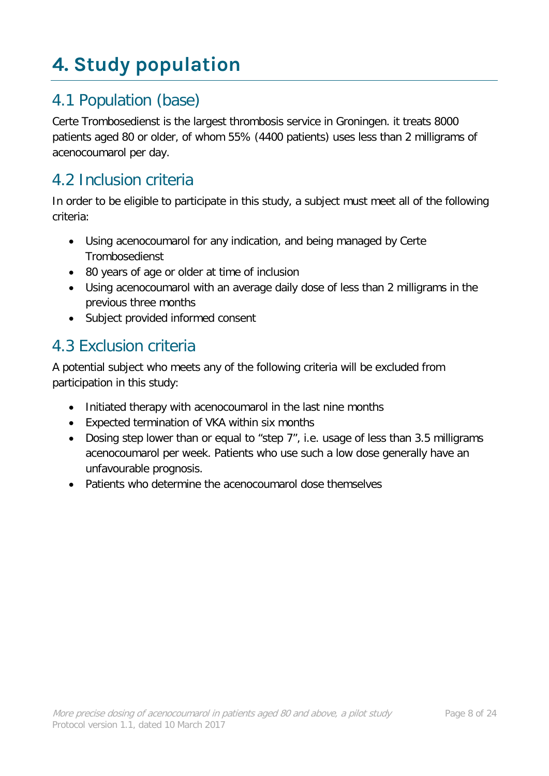# <span id="page-7-0"></span>**4. Study population**

# 4.1 Population (base)

Certe Trombosedienst is the largest thrombosis service in Groningen. it treats 8000 patients aged 80 or older, of whom 55% (4400 patients) uses less than 2 milligrams of acenocoumarol per day.

#### 4.2 Inclusion criteria

In order to be eligible to participate in this study, a subject must meet all of the following criteria:

- Using acenocoumarol for any indication, and being managed by Certe **Trombosedienst**
- 80 years of age or older at time of inclusion
- Using acenocoumarol with an average daily dose of less than 2 milligrams in the previous three months
- Subject provided informed consent

### 4.3 Exclusion criteria

A potential subject who meets any of the following criteria will be excluded from participation in this study:

- Initiated therapy with acenocoumarol in the last nine months
- Expected termination of VKA within six months
- Dosing step lower than or equal to "step 7", i.e. usage of less than 3.5 milligrams acenocoumarol per week. Patients who use such a low dose generally have an unfavourable prognosis.
- Patients who determine the acenocoumarol dose themselves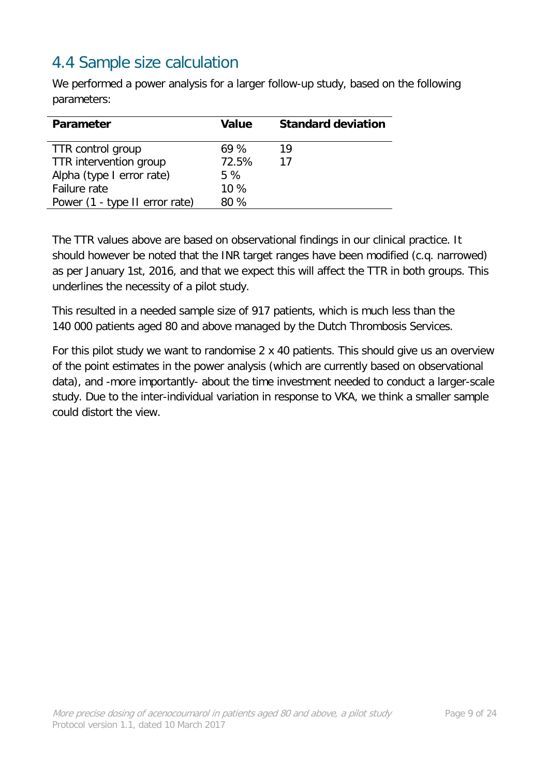# 4.4 Sample size calculation

We performed a power analysis for a larger follow-up study, based on the following parameters:

| <b>Parameter</b>               | Value  | <b>Standard deviation</b> |
|--------------------------------|--------|---------------------------|
| TTR control group              | 69%    | 19                        |
| TTR intervention group         | 72.5%  | 17                        |
| Alpha (type I error rate)      | 5 %    |                           |
| Failure rate                   | $10\%$ |                           |
| Power (1 - type II error rate) | 80%    |                           |

The TTR values above are based on observational findings in our clinical practice. It should however be noted that the INR target ranges have been modified (c.q. narrowed) as per January 1st, 2016, and that we expect this will affect the TTR in both groups. This underlines the necessity of a pilot study.

This resulted in a needed sample size of 917 patients, which is much less than the 140 000 patients aged 80 and above managed by the Dutch Thrombosis Services.

For this pilot study we want to randomise 2 x 40 patients. This should give us an overview of the point estimates in the power analysis (which are currently based on observational data), and -more importantly- about the time investment needed to conduct a larger-scale study. Due to the inter-individual variation in response to VKA, we think a smaller sample could distort the view.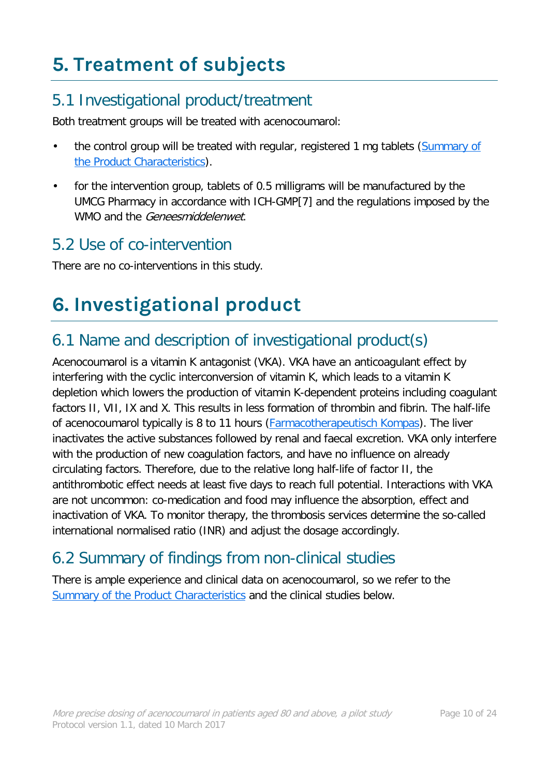# <span id="page-9-0"></span>**5. Treatment of subjects**

# 5.1 Investigational product/treatment

Both treatment groups will be treated with acenocoumarol:

- the control group will be treated with regular, registered 1 mg tablets (Summary of [the Product Characteristics\)](http://db.cbg-meb.nl/IB-teksten/h04464.pdf).
- for the intervention group, tablets of 0.5 milligrams will be manufactured by the UMCG Pharmacy in accordance with ICH-GMP[7] and the regulations imposed by the WMO and the Geneesmiddelenwet.

### 5.2 Use of co-intervention

There are no co-interventions in this study.

# <span id="page-9-1"></span>**6. Investigational product**

# 6.1 Name and description of investigational product(s)

Acenocoumarol is a vitamin K antagonist (VKA). VKA have an anticoagulant effect by interfering with the cyclic interconversion of vitamin K, which leads to a vitamin K depletion which lowers the production of vitamin K-dependent proteins including coagulant factors II, VII, IX and X. This results in less formation of thrombin and fibrin. The half-life of acenocoumarol typically is 8 to 11 hours [\(Farmacotherapeutisch Kompas\)](https://www.farmacotherapeutischkompas.nl/bladeren-volgens-boek/preparaatteksten/a/acenocoumarol). The liver inactivates the active substances followed by renal and faecal excretion. VKA only interfere with the production of new coagulation factors, and have no influence on already circulating factors. Therefore, due to the relative long half-life of factor II, the antithrombotic effect needs at least five days to reach full potential. Interactions with VKA are not uncommon: co-medication and food may influence the absorption, effect and inactivation of VKA. To monitor therapy, the thrombosis services determine the so-called international normalised ratio (INR) and adjust the dosage accordingly.

# 6.2 Summary of findings from non-clinical studies

There is ample experience and clinical data on acenocoumarol, so we refer to the [Summary of the Product Characteristics](http://db.cbg-meb.nl/IB-teksten/h04464.pdf) and the clinical studies below.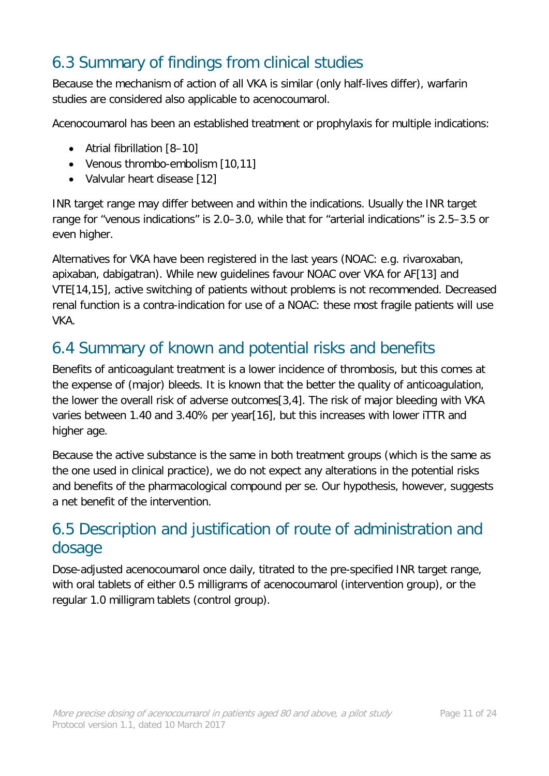# 6.3 Summary of findings from clinical studies

Because the mechanism of action of all VKA is similar (only half-lives differ), warfarin studies are considered also applicable to acenocoumarol.

Acenocoumarol has been an established treatment or prophylaxis for multiple indications:

- Atrial fibrillation [8–10]
- Venous thrombo-embolism [10,11]
- Valvular heart disease [12]

INR target range may differ between and within the indications. Usually the INR target range for "venous indications" is 2.0–3.0, while that for "arterial indications" is 2.5–3.5 or even higher.

Alternatives for VKA have been registered in the last years (NOAC: e.g. rivaroxaban, apixaban, dabigatran). While new guidelines favour NOAC over VKA for AF[13] and VTE[14,15], active switching of patients without problems is not recommended. Decreased renal function is a contra-indication for use of a NOAC: these most fragile patients will use VKA.

#### 6.4 Summary of known and potential risks and benefits

Benefits of anticoagulant treatment is a lower incidence of thrombosis, but this comes at the expense of (major) bleeds. It is known that the better the quality of anticoagulation, the lower the overall risk of adverse outcomes[3,4]. The risk of major bleeding with VKA varies between 1.40 and 3.40% per year[16], but this increases with lower iTTR and higher age.

Because the active substance is the same in both treatment groups (which is the same as the one used in clinical practice), we do not expect any alterations in the potential risks and benefits of the pharmacological compound per se. Our hypothesis, however, suggests a net benefit of the intervention.

### 6.5 Description and justification of route of administration and dosage

Dose-adjusted acenocoumarol once daily, titrated to the pre-specified INR target range, with oral tablets of either 0.5 milligrams of acenocoumarol (intervention group), or the regular 1.0 milligram tablets (control group).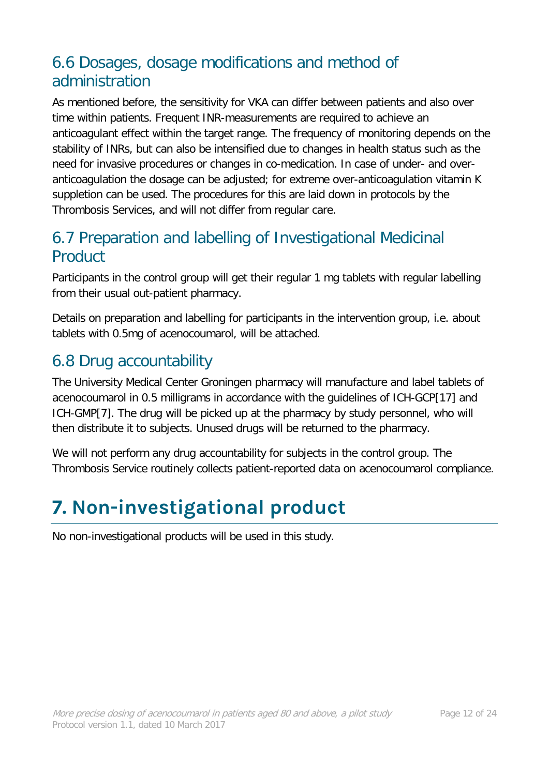# 6.6 Dosages, dosage modifications and method of administration

As mentioned before, the sensitivity for VKA can differ between patients and also over time within patients. Frequent INR-measurements are required to achieve an anticoagulant effect within the target range. The frequency of monitoring depends on the stability of INRs, but can also be intensified due to changes in health status such as the need for invasive procedures or changes in co-medication. In case of under- and overanticoagulation the dosage can be adjusted; for extreme over-anticoagulation vitamin K suppletion can be used. The procedures for this are laid down in protocols by the Thrombosis Services, and will not differ from regular care.

#### 6.7 Preparation and labelling of Investigational Medicinal Product

Participants in the control group will get their regular 1 mg tablets with regular labelling from their usual out-patient pharmacy.

Details on preparation and labelling for participants in the intervention group, i.e. about tablets with 0.5mg of acenocoumarol, will be attached.

# 6.8 Drug accountability

The University Medical Center Groningen pharmacy will manufacture and label tablets of acenocoumarol in 0.5 milligrams in accordance with the guidelines of ICH-GCP[17] and ICH-GMP[7]. The drug will be picked up at the pharmacy by study personnel, who will then distribute it to subjects. Unused drugs will be returned to the pharmacy.

We will not perform any drug accountability for subjects in the control group. The Thrombosis Service routinely collects patient-reported data on acenocoumarol compliance.

# <span id="page-11-0"></span>**7. Non-investigational product**

No non-investigational products will be used in this study.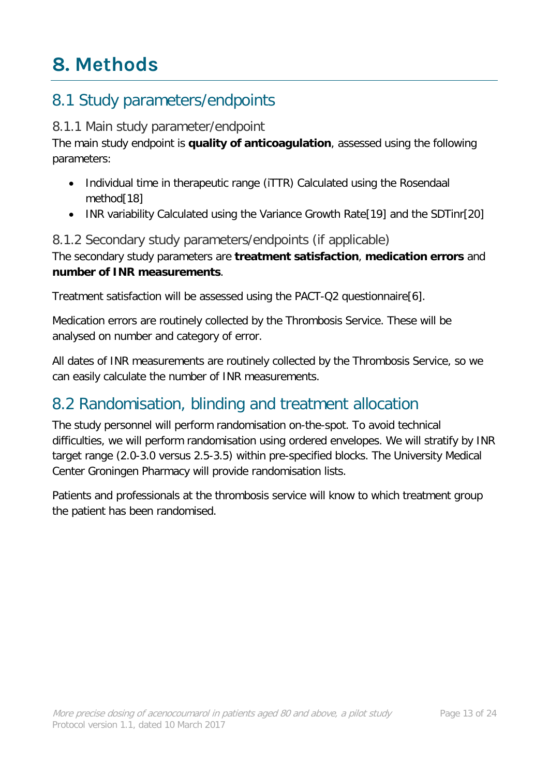# <span id="page-12-0"></span>**8. Methods**

### 8.1 Study parameters/endpoints

#### 8.1.1 Main study parameter/endpoint

The main study endpoint is **quality of anticoagulation**, assessed using the following parameters:

- Individual time in therapeutic range (iTTR) Calculated using the Rosendaal method[18]
- INR variability Calculated using the Variance Growth Rate<sup>[19]</sup> and the SDTinr<sup>[20]</sup>

#### 8.1.2 Secondary study parameters/endpoints (if applicable)

The secondary study parameters are **treatment satisfaction**, **medication errors** and **number of INR measurements**.

Treatment satisfaction will be assessed using the PACT-Q2 questionnaire[6].

Medication errors are routinely collected by the Thrombosis Service. These will be analysed on number and category of error.

All dates of INR measurements are routinely collected by the Thrombosis Service, so we can easily calculate the number of INR measurements.

### 8.2 Randomisation, blinding and treatment allocation

The study personnel will perform randomisation on-the-spot. To avoid technical difficulties, we will perform randomisation using ordered envelopes. We will stratify by INR target range (2.0-3.0 versus 2.5-3.5) within pre-specified blocks. The University Medical Center Groningen Pharmacy will provide randomisation lists.

Patients and professionals at the thrombosis service will know to which treatment group the patient has been randomised.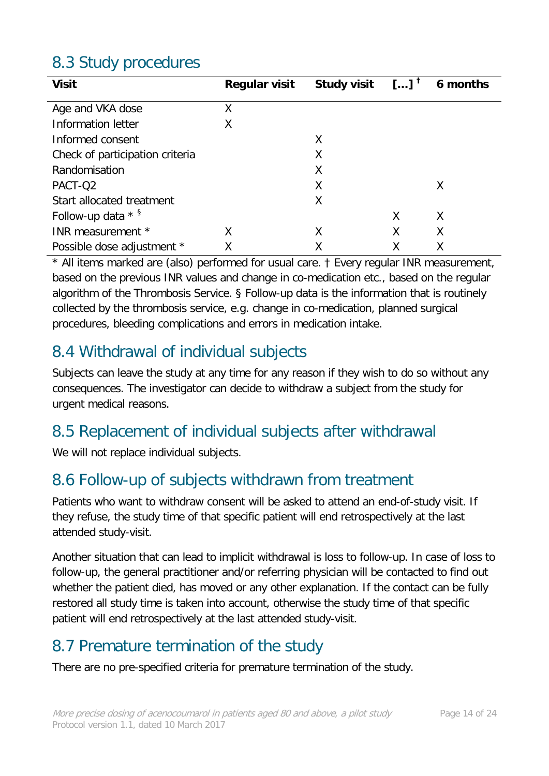# 8.3 Study procedures

| <b>Visit</b>                    | <b>Regular visit</b> | <b>Study visit</b> | $\left[\right]$ <sup>T</sup> | 6 months |
|---------------------------------|----------------------|--------------------|------------------------------|----------|
| Age and VKA dose                | X                    |                    |                              |          |
| Information letter              | Χ                    |                    |                              |          |
| Informed consent                |                      | Χ                  |                              |          |
| Check of participation criteria |                      | Χ                  |                              |          |
| Randomisation                   |                      | Χ                  |                              |          |
| PACT-Q2                         |                      | Χ                  |                              | Χ        |
| Start allocated treatment       |                      | Χ                  |                              |          |
| Follow-up data $*$ §            |                      |                    | X                            | Χ        |
| INR measurement *               | Χ                    | Χ                  | Χ                            | Χ        |
| Possible dose adjustment *      |                      |                    |                              |          |

\* All items marked are (also) performed for usual care. † Every regular INR measurement, based on the previous INR values and change in co-medication etc., based on the regular algorithm of the Thrombosis Service. § Follow-up data is the information that is routinely collected by the thrombosis service, e.g. change in co-medication, planned surgical procedures, bleeding complications and errors in medication intake.

## 8.4 Withdrawal of individual subjects

Subjects can leave the study at any time for any reason if they wish to do so without any consequences. The investigator can decide to withdraw a subject from the study for urgent medical reasons.

# 8.5 Replacement of individual subjects after withdrawal

We will not replace individual subjects.

### 8.6 Follow-up of subjects withdrawn from treatment

Patients who want to withdraw consent will be asked to attend an end-of-study visit. If they refuse, the study time of that specific patient will end retrospectively at the last attended study-visit.

Another situation that can lead to implicit withdrawal is loss to follow-up. In case of loss to follow-up, the general practitioner and/or referring physician will be contacted to find out whether the patient died, has moved or any other explanation. If the contact can be fully restored all study time is taken into account, otherwise the study time of that specific patient will end retrospectively at the last attended study-visit.

### 8.7 Premature termination of the study

There are no pre-specified criteria for premature termination of the study.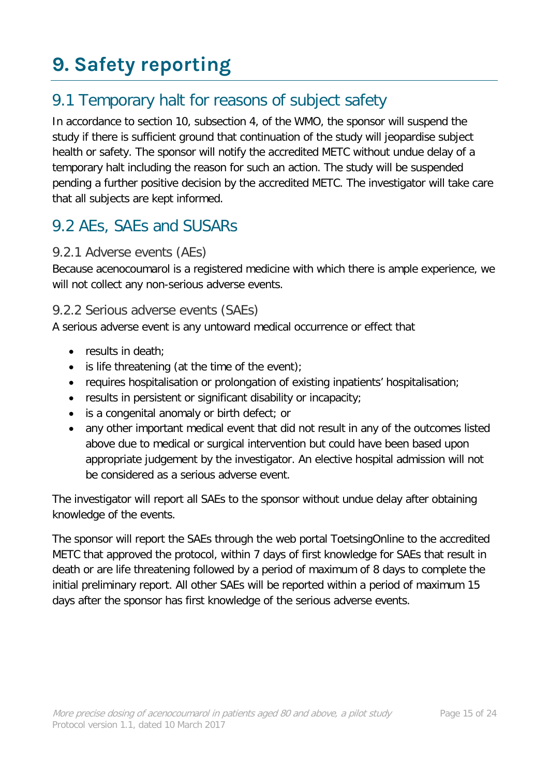# <span id="page-14-0"></span>**9. Safety reporting**

# 9.1 Temporary halt for reasons of subject safety

In accordance to section 10, subsection 4, of the WMO, the sponsor will suspend the study if there is sufficient ground that continuation of the study will jeopardise subject health or safety. The sponsor will notify the accredited METC without undue delay of a temporary halt including the reason for such an action. The study will be suspended pending a further positive decision by the accredited METC. The investigator will take care that all subjects are kept informed.

## 9.2 AEs, SAEs and SUSARs

#### 9.2.1 Adverse events (AEs)

Because acenocoumarol is a registered medicine with which there is ample experience, we will not collect any non-serious adverse events.

#### 9.2.2 Serious adverse events (SAEs)

A serious adverse event is any untoward medical occurrence or effect that

- results in death:
- is life threatening (at the time of the event);
- requires hospitalisation or prolongation of existing inpatients' hospitalisation;
- results in persistent or significant disability or incapacity;
- is a congenital anomaly or birth defect; or
- any other important medical event that did not result in any of the outcomes listed above due to medical or surgical intervention but could have been based upon appropriate judgement by the investigator. An elective hospital admission will not be considered as a serious adverse event.

The investigator will report all SAEs to the sponsor without undue delay after obtaining knowledge of the events.

The sponsor will report the SAEs through the web portal ToetsingOnline to the accredited METC that approved the protocol, within 7 days of first knowledge for SAEs that result in death or are life threatening followed by a period of maximum of 8 days to complete the initial preliminary report. All other SAEs will be reported within a period of maximum 15 days after the sponsor has first knowledge of the serious adverse events.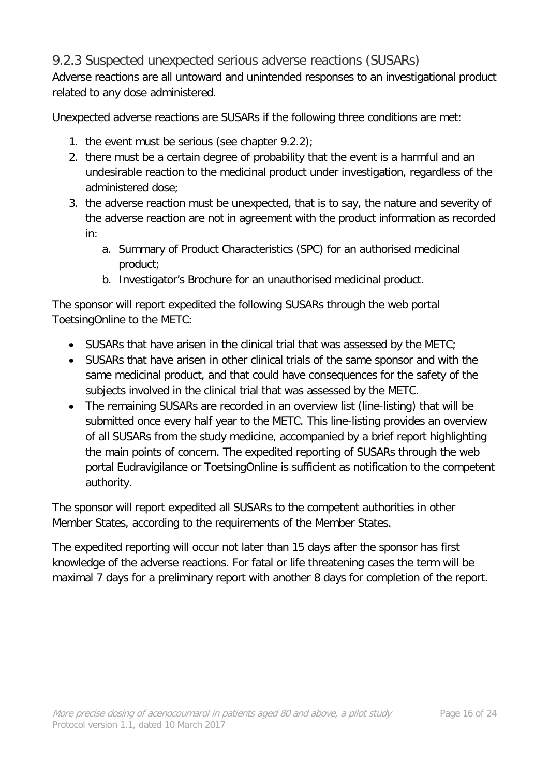#### 9.2.3 Suspected unexpected serious adverse reactions (SUSARs)

Adverse reactions are all untoward and unintended responses to an investigational product related to any dose administered.

Unexpected adverse reactions are SUSARs if the following three conditions are met:

- 1. the event must be serious (see chapter  $9.2.2$ );
- 2. there must be a certain degree of probability that the event is a harmful and an undesirable reaction to the medicinal product under investigation, regardless of the administered dose;
- 3. the adverse reaction must be unexpected, that is to say, the nature and severity of the adverse reaction are not in agreement with the product information as recorded in:
	- a. Summary of Product Characteristics (SPC) for an authorised medicinal product;
	- b. Investigator's Brochure for an unauthorised medicinal product.

The sponsor will report expedited the following SUSARs through the web portal ToetsingOnline to the METC:

- SUSARs that have arisen in the clinical trial that was assessed by the METC;
- SUSARs that have arisen in other clinical trials of the same sponsor and with the same medicinal product, and that could have consequences for the safety of the subjects involved in the clinical trial that was assessed by the METC.
- The remaining SUSARs are recorded in an overview list (line-listing) that will be submitted once every half year to the METC. This line-listing provides an overview of all SUSARs from the study medicine, accompanied by a brief report highlighting the main points of concern. The expedited reporting of SUSARs through the web portal Eudravigilance or ToetsingOnline is sufficient as notification to the competent authority.

The sponsor will report expedited all SUSARs to the competent authorities in other Member States, according to the requirements of the Member States.

The expedited reporting will occur not later than 15 days after the sponsor has first knowledge of the adverse reactions. For fatal or life threatening cases the term will be maximal 7 days for a preliminary report with another 8 days for completion of the report.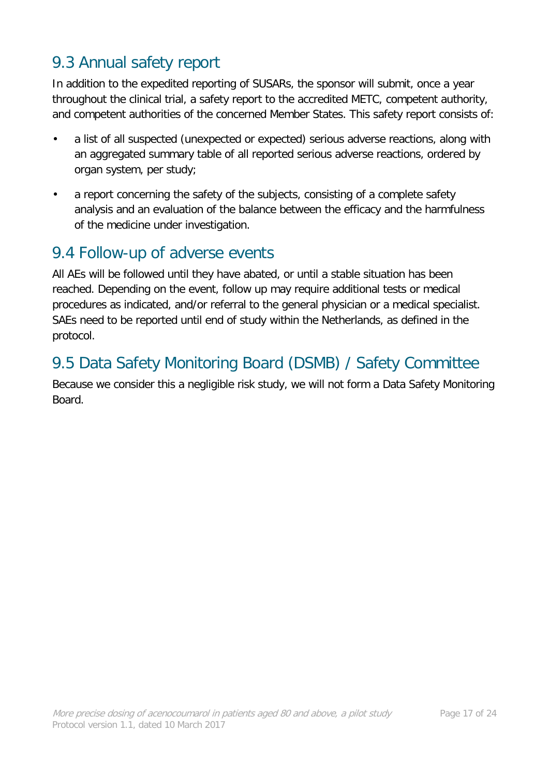### 9.3 Annual safety report

In addition to the expedited reporting of SUSARs, the sponsor will submit, once a year throughout the clinical trial, a safety report to the accredited METC, competent authority, and competent authorities of the concerned Member States. This safety report consists of:

- a list of all suspected (unexpected or expected) serious adverse reactions, along with an aggregated summary table of all reported serious adverse reactions, ordered by organ system, per study;
- a report concerning the safety of the subjects, consisting of a complete safety analysis and an evaluation of the balance between the efficacy and the harmfulness of the medicine under investigation.

#### 9.4 Follow-up of adverse events

All AEs will be followed until they have abated, or until a stable situation has been reached. Depending on the event, follow up may require additional tests or medical procedures as indicated, and/or referral to the general physician or a medical specialist. SAEs need to be reported until end of study within the Netherlands, as defined in the protocol.

# 9.5 Data Safety Monitoring Board (DSMB) / Safety Committee

Because we consider this a negligible risk study, we will not form a Data Safety Monitoring **Board**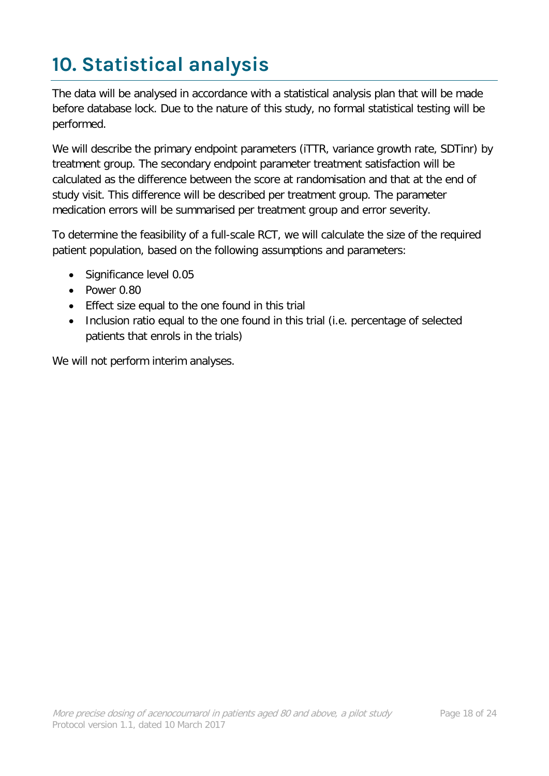# <span id="page-17-0"></span>**10. Statistical analysis**

The data will be analysed in accordance with a statistical analysis plan that will be made before database lock. Due to the nature of this study, no formal statistical testing will be performed.

We will describe the primary endpoint parameters (iTTR, variance growth rate, SDTinr) by treatment group. The secondary endpoint parameter treatment satisfaction will be calculated as the difference between the score at randomisation and that at the end of study visit. This difference will be described per treatment group. The parameter medication errors will be summarised per treatment group and error severity.

To determine the feasibility of a full-scale RCT, we will calculate the size of the required patient population, based on the following assumptions and parameters:

- Significance level 0.05
- Power 0.80
- Effect size equal to the one found in this trial
- Inclusion ratio equal to the one found in this trial (i.e. percentage of selected patients that enrols in the trials)

We will not perform interim analyses.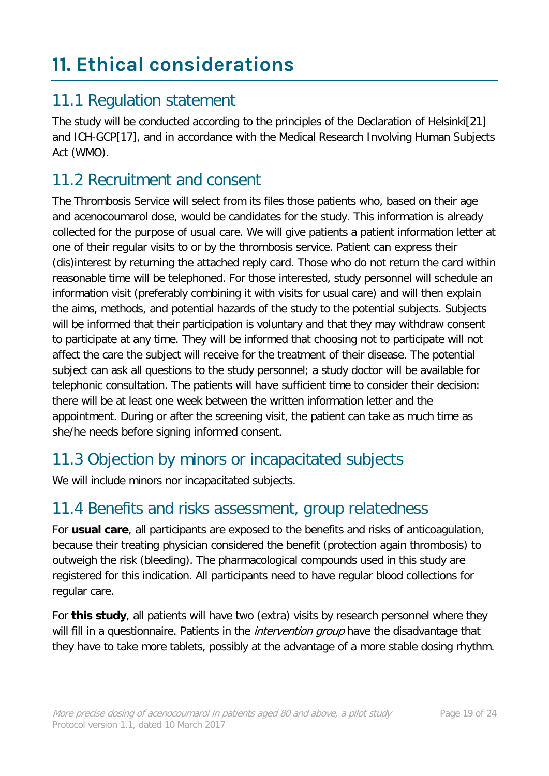# <span id="page-18-0"></span>**11. Ethical considerations**

#### 11.1 Regulation statement

The study will be conducted according to the principles of the Declaration of Helsinki[21] and ICH-GCP[17], and in accordance with the Medical Research Involving Human Subjects Act (WMO).

#### 11.2 Recruitment and consent

The Thrombosis Service will select from its files those patients who, based on their age and acenocoumarol dose, would be candidates for the study. This information is already collected for the purpose of usual care. We will give patients a patient information letter at one of their regular visits to or by the thrombosis service. Patient can express their (dis)interest by returning the attached reply card. Those who do not return the card within reasonable time will be telephoned. For those interested, study personnel will schedule an information visit (preferably combining it with visits for usual care) and will then explain the aims, methods, and potential hazards of the study to the potential subjects. Subjects will be informed that their participation is voluntary and that they may withdraw consent to participate at any time. They will be informed that choosing not to participate will not affect the care the subject will receive for the treatment of their disease. The potential subject can ask all questions to the study personnel; a study doctor will be available for telephonic consultation. The patients will have sufficient time to consider their decision: there will be at least one week between the written information letter and the appointment. During or after the screening visit, the patient can take as much time as she/he needs before signing informed consent.

### 11.3 Objection by minors or incapacitated subjects

We will include minors nor incapacitated subjects.

#### 11.4 Benefits and risks assessment, group relatedness

For **usual care**, all participants are exposed to the benefits and risks of anticoagulation, because their treating physician considered the benefit (protection again thrombosis) to outweigh the risk (bleeding). The pharmacological compounds used in this study are registered for this indication. All participants need to have regular blood collections for regular care.

For **this study**, all patients will have two (extra) visits by research personnel where they will fill in a questionnaire. Patients in the *intervention group* have the disadvantage that they have to take more tablets, possibly at the advantage of a more stable dosing rhythm.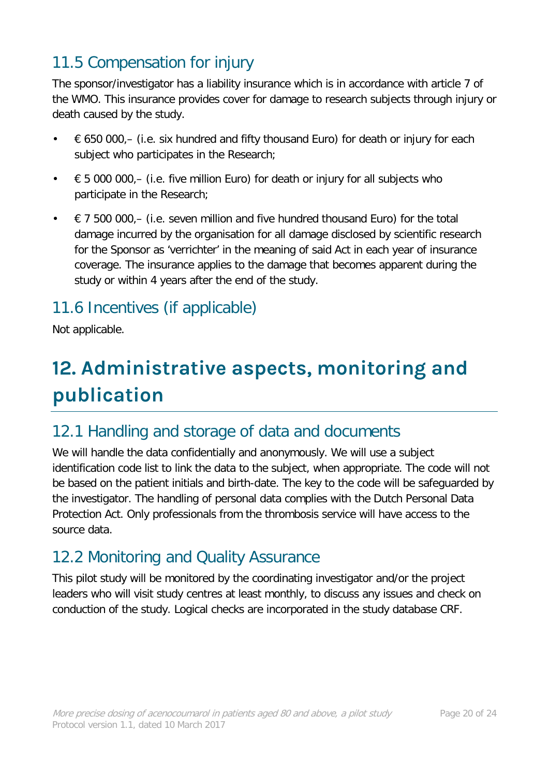# 11.5 Compensation for injury

The sponsor/investigator has a liability insurance which is in accordance with article 7 of the WMO. This insurance provides cover for damage to research subjects through injury or death caused by the study.

- $\epsilon$  650 000, (i.e. six hundred and fifty thousand Euro) for death or injury for each subject who participates in the Research;
- $\cdot \in$  5 000 000, (i.e. five million Euro) for death or injury for all subjects who participate in the Research;
- $\epsilon$  7 500 000,– (i.e. seven million and five hundred thousand Euro) for the total damage incurred by the organisation for all damage disclosed by scientific research for the Sponsor as 'verrichter' in the meaning of said Act in each year of insurance coverage. The insurance applies to the damage that becomes apparent during the study or within 4 years after the end of the study.

# 11.6 Incentives (if applicable)

Not applicable.

# <span id="page-19-0"></span>**12. Administrative aspects, monitoring and publication**

### 12.1 Handling and storage of data and documents

We will handle the data confidentially and anonymously. We will use a subject identification code list to link the data to the subject, when appropriate. The code will not be based on the patient initials and birth-date. The key to the code will be safeguarded by the investigator. The handling of personal data complies with the Dutch Personal Data Protection Act. Only professionals from the thrombosis service will have access to the source data.

### 12.2 Monitoring and Quality Assurance

This pilot study will be monitored by the coordinating investigator and/or the project leaders who will visit study centres at least monthly, to discuss any issues and check on conduction of the study. Logical checks are incorporated in the study database CRF.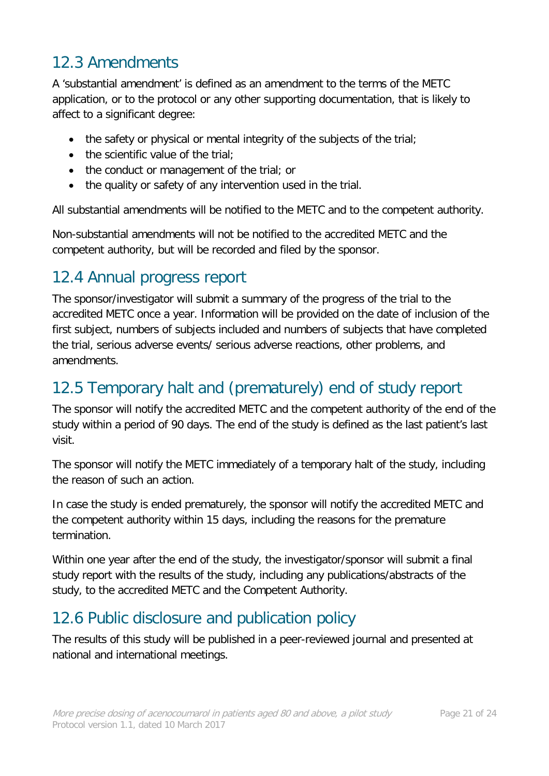## 12.3 Amendments

A 'substantial amendment' is defined as an amendment to the terms of the METC application, or to the protocol or any other supporting documentation, that is likely to affect to a significant degree:

- the safety or physical or mental integrity of the subjects of the trial;
- the scientific value of the trial:
- the conduct or management of the trial; or
- the quality or safety of any intervention used in the trial.

All substantial amendments will be notified to the METC and to the competent authority.

Non-substantial amendments will not be notified to the accredited METC and the competent authority, but will be recorded and filed by the sponsor.

### 12.4 Annual progress report

The sponsor/investigator will submit a summary of the progress of the trial to the accredited METC once a year. Information will be provided on the date of inclusion of the first subject, numbers of subjects included and numbers of subjects that have completed the trial, serious adverse events/ serious adverse reactions, other problems, and amendments.

#### 12.5 Temporary halt and (prematurely) end of study report

The sponsor will notify the accredited METC and the competent authority of the end of the study within a period of 90 days. The end of the study is defined as the last patient's last visit.

The sponsor will notify the METC immediately of a temporary halt of the study, including the reason of such an action.

In case the study is ended prematurely, the sponsor will notify the accredited METC and the competent authority within 15 days, including the reasons for the premature termination.

Within one year after the end of the study, the investigator/sponsor will submit a final study report with the results of the study, including any publications/abstracts of the study, to the accredited METC and the Competent Authority.

# 12.6 Public disclosure and publication policy

The results of this study will be published in a peer-reviewed journal and presented at national and international meetings.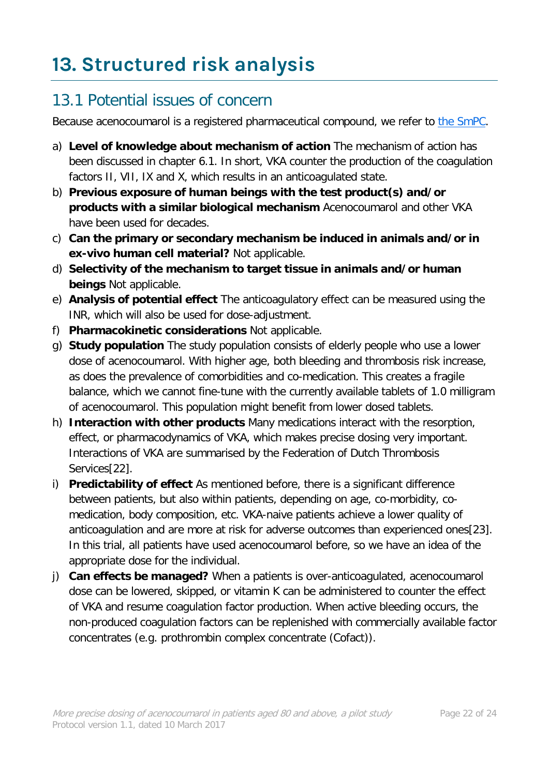# <span id="page-21-0"></span>**13. Structured risk analysis**

## 13.1 Potential issues of concern

Because acenocoumarol is a registered pharmaceutical compound, we refer to [the SmPC.](http://db.cbg-meb.nl/IB-teksten/h04464.pdf)

- a) **Level of knowledge about mechanism of action** The mechanism of action has been discussed in chapter 6.1. In short, VKA counter the production of the coagulation factors II, VII, IX and X, which results in an anticoagulated state.
- b) **Previous exposure of human beings with the test product(s) and/or products with a similar biological mechanism** Acenocoumarol and other VKA have been used for decades.
- c) **Can the primary or secondary mechanism be induced in animals and/or in ex-vivo human cell material?** Not applicable.
- d) **Selectivity of the mechanism to target tissue in animals and/or human beings** Not applicable.
- e) **Analysis of potential effect** The anticoagulatory effect can be measured using the INR, which will also be used for dose-adjustment.
- f) **Pharmacokinetic considerations** Not applicable.
- g) **Study population** The study population consists of elderly people who use a lower dose of acenocoumarol. With higher age, both bleeding and thrombosis risk increase, as does the prevalence of comorbidities and co-medication. This creates a fragile balance, which we cannot fine-tune with the currently available tablets of 1.0 milligram of acenocoumarol. This population might benefit from lower dosed tablets.
- h) **Interaction with other products** Many medications interact with the resorption, effect, or pharmacodynamics of VKA, which makes precise dosing very important. Interactions of VKA are summarised by the Federation of Dutch Thrombosis Services[22].
- i) **Predictability of effect** As mentioned before, there is a significant difference between patients, but also within patients, depending on age, co-morbidity, comedication, body composition, etc. VKA-naive patients achieve a lower quality of anticoagulation and are more at risk for adverse outcomes than experienced ones[23]. In this trial, all patients have used acenocoumarol before, so we have an idea of the appropriate dose for the individual.
- j) **Can effects be managed?** When a patients is over-anticoagulated, acenocoumarol dose can be lowered, skipped, or vitamin K can be administered to counter the effect of VKA and resume coagulation factor production. When active bleeding occurs, the non-produced coagulation factors can be replenished with commercially available factor concentrates (e.g. prothrombin complex concentrate (Cofact)).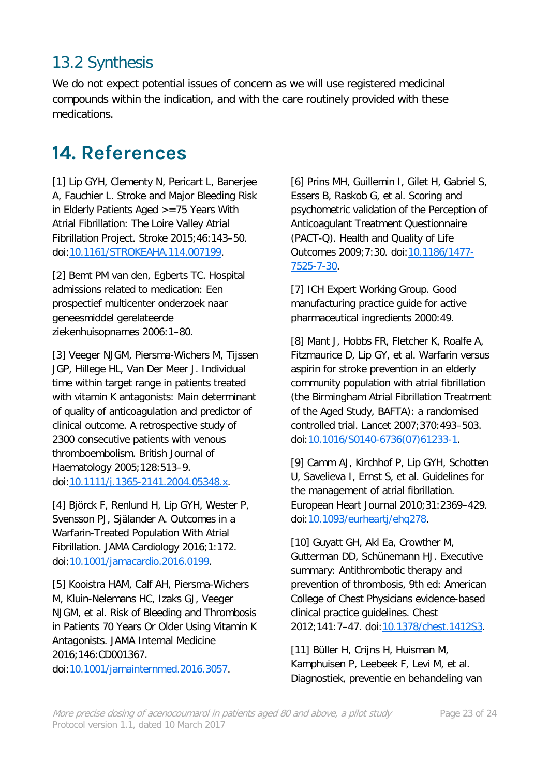# 13.2 Synthesis

We do not expect potential issues of concern as we will use registered medicinal compounds within the indication, and with the care routinely provided with these medications.

# <span id="page-22-0"></span>**14. References**

[1] Lip GYH, Clementy N, Pericart L, Banerjee A, Fauchier L. Stroke and Major Bleeding Risk in Elderly Patients Aged >=75 Years With Atrial Fibrillation: The Loire Valley Atrial Fibrillation Project. Stroke 2015;46:143–50. doi[:10.1161/STROKEAHA.114.007199.](https://doi.org/10.1161/STROKEAHA.114.007199)

[2] Bemt PM van den, Egberts TC. Hospital admissions related to medication: Een prospectief multicenter onderzoek naar geneesmiddel gerelateerde ziekenhuisopnames 2006:1–80.

[3] Veeger NJGM, Piersma-Wichers M, Tijssen JGP, Hillege HL, Van Der Meer J. Individual time within target range in patients treated with vitamin K antagonists: Main determinant of quality of anticoagulation and predictor of clinical outcome. A retrospective study of 2300 consecutive patients with venous thromboembolism. British Journal of Haematology 2005;128:513–9. doi[:10.1111/j.1365-2141.2004.05348.x.](https://doi.org/10.1111/j.1365-2141.2004.05348.x)

[4] Björck F, Renlund H, Lip GYH, Wester P, Svensson PJ, Själander A. Outcomes in a Warfarin-Treated Population With Atrial Fibrillation. JAMA Cardiology 2016;1:172. doi[:10.1001/jamacardio.2016.0199.](https://doi.org/10.1001/jamacardio.2016.0199)

[5] Kooistra HAM, Calf AH, Piersma-Wichers M, Kluin-Nelemans HC, Izaks GJ, Veeger NJGM, et al. Risk of Bleeding and Thrombosis in Patients 70 Years Or Older Using Vitamin K Antagonists. JAMA Internal Medicine 2016;146:CD001367.

doi[:10.1001/jamainternmed.2016.3057.](https://doi.org/10.1001/jamainternmed.2016.3057)

[6] Prins MH, Guillemin I, Gilet H, Gabriel S, Essers B, Raskob G, et al. Scoring and psychometric validation of the Perception of Anticoagulant Treatment Questionnaire (PACT-Q). Health and Quality of Life Outcomes 2009;7:30. doi[:10.1186/1477-](https://doi.org/10.1186/1477-7525-7-30) [7525-7-30.](https://doi.org/10.1186/1477-7525-7-30)

[7] ICH Expert Working Group. Good manufacturing practice guide for active pharmaceutical ingredients 2000:49.

[8] Mant J, Hobbs FR, Fletcher K, Roalfe A, Fitzmaurice D, Lip GY, et al. Warfarin versus aspirin for stroke prevention in an elderly community population with atrial fibrillation (the Birmingham Atrial Fibrillation Treatment of the Aged Study, BAFTA): a randomised controlled trial. Lancet 2007;370:493–503. doi[:10.1016/S0140-6736\(07\)61233-1.](https://doi.org/10.1016/S0140-6736(07)61233-1)

[9] Camm AJ, Kirchhof P, Lip GYH, Schotten U, Savelieva I, Ernst S, et al. Guidelines for the management of atrial fibrillation. European Heart Journal 2010;31:2369–429. doi[:10.1093/eurheartj/ehq278.](https://doi.org/10.1093/eurheartj/ehq278)

[10] Guyatt GH, Akl Ea, Crowther M, Gutterman DD, Schünemann HJ. Executive summary: Antithrombotic therapy and prevention of thrombosis, 9th ed: American College of Chest Physicians evidence-based clinical practice guidelines. Chest 2012;141:7–47. doi[:10.1378/chest.1412S3.](https://doi.org/10.1378/chest.1412S3)

[11] Büller H, Crijns H, Huisman M, Kamphuisen P, Leebeek F, Levi M, et al. Diagnostiek, preventie en behandeling van